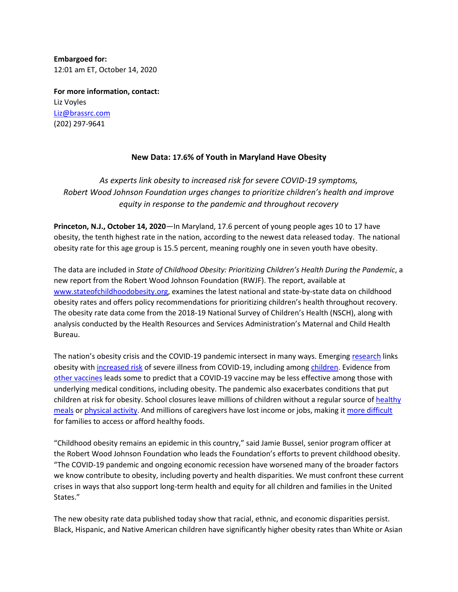**Embargoed for:** 12:01 am ET, October 14, 2020

**For more information, contact:**  Liz Voyles [Liz@brassrc.com](mailto:Liz@brassrc.com) (202) 297-9641

# **New Data: 17.6% of Youth in Maryland Have Obesity**

*As experts link obesity to increased risk for severe COVID-19 symptoms, Robert Wood Johnson Foundation urges changes to prioritize children's health and improve equity in response to the pandemic and throughout recovery*

**Princeton, N.J., October 14, 2020**—In Maryland, 17.6 percent of young people ages 10 to 17 have obesity, the tenth highest rate in the nation, according to the newest data released today. The national obesity rate for this age group is 15.5 percent, meaning roughly one in seven youth have obesity.

The data are included in *State of Childhood Obesity: Prioritizing Children's Health During the Pandemic*, a new report from the Robert Wood Johnson Foundation (RWJF). The report, available at [www.stateofchildhoodobesity.org,](http://www.stateofchildhoodobesity.org/) examines the latest national and state-by-state data on childhood obesity rates and offers policy recommendations for prioritizing children's health throughout recovery. The obesity rate data come from the 2018-19 National Survey of Children's Health (NSCH), along with analysis conducted by the Health Resources and Services Administration's Maternal and Child Health Bureau.

The nation's obesity crisis and the COVID-19 pandemic intersect in many ways. Emergin[g research](https://onlinelibrary.wiley.com/doi/10.1111/obr.13128) links obesity with [increased risk](https://www.cdc.gov/coronavirus/2019-ncov/need-extra-precautions/people-with-medical-conditions.html#obesity) of severe illness from COVID-19, including among [children.](https://www.cdc.gov/mmwr/volumes/69/wr/mm6932e3.htm?s_cid=mm6932e3_w) Evidence from [other vaccines](https://www.nytimes.com/2020/09/29/health/covid-obesity.html) leads some to predict that a COVID-19 vaccine may be less effective among those with underlying medical conditions, including obesity. The pandemic also exacerbates conditions that put children at risk for obesity. School closures leave millions of children without a regular source o[f healthy](https://www.usda.gov/media/press-releases/2020/08/31/usda-extends-free-meals-kids-through-december-31-2020)  [meals](https://www.usda.gov/media/press-releases/2020/08/31/usda-extends-free-meals-kids-through-december-31-2020) or [physical activity.](https://www.sciencedirect.com/science/article/pii/S209525462030065X?via=ihub) And millions of caregivers have lost income or jobs, making it [more difficult](https://www.cbpp.org/research/poverty-and-inequality/new-data-millions-struggling-to-eat-and-pay-rent) for families to access or afford healthy foods.

"Childhood obesity remains an epidemic in this country," said Jamie Bussel, senior program officer at the Robert Wood Johnson Foundation who leads the Foundation's efforts to prevent childhood obesity. "The COVID-19 pandemic and ongoing economic recession have worsened many of the broader factors we know contribute to obesity, including poverty and health disparities. We must confront these current crises in ways that also support long-term health and equity for all children and families in the United States."

The new obesity rate data published today show that racial, ethnic, and economic disparities persist. Black, Hispanic, and Native American children have significantly higher obesity rates than White or Asian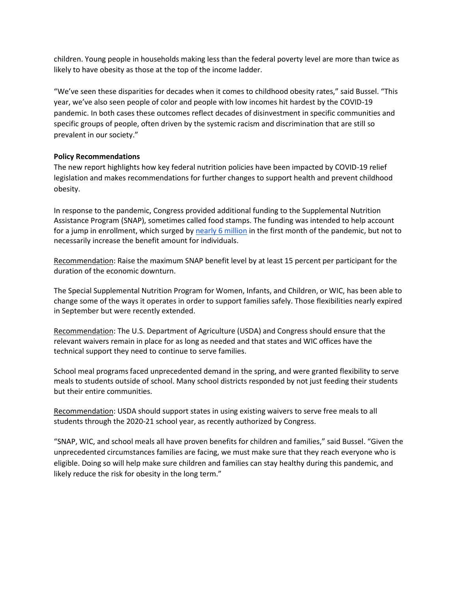children. Young people in households making less than the federal poverty level are more than twice as likely to have obesity as those at the top of the income ladder.

"We've seen these disparities for decades when it comes to childhood obesity rates," said Bussel. "This year, we've also seen people of color and people with low incomes hit hardest by the COVID-19 pandemic. In both cases these outcomes reflect decades of disinvestment in specific communities and specific groups of people, often driven by the systemic racism and discrimination that are still so prevalent in our society."

### **Policy Recommendations**

The new report highlights how key federal nutrition policies have been impacted by COVID-19 relief legislation and makes recommendations for further changes to support health and prevent childhood obesity.

In response to the pandemic, Congress provided additional funding to the Supplemental Nutrition Assistance Program (SNAP), sometimes called food stamps. The funding was intended to help account for a jump in enrollment, which surged b[y nearly 6 million](https://fns-prod.azureedge.net/sites/default/files/resource-files/29SNAPcurrPP-7a.pdf) in the first month of the pandemic, but not to necessarily increase the benefit amount for individuals.

Recommendation: Raise the maximum SNAP benefit level by at least 15 percent per participant for the duration of the economic downturn.

The Special Supplemental Nutrition Program for Women, Infants, and Children, or WIC, has been able to change some of the ways it operates in order to support families safely. Those flexibilities nearly expired in September but were recently extended.

Recommendation: The U.S. Department of Agriculture (USDA) and Congress should ensure that the relevant waivers remain in place for as long as needed and that states and WIC offices have the technical support they need to continue to serve families.

School meal programs faced unprecedented demand in the spring, and were granted flexibility to serve meals to students outside of school. Many school districts responded by not just feeding their students but their entire communities.

Recommendation: USDA should support states in using existing waivers to serve free meals to all students through the 2020-21 school year, as recently authorized by Congress.

"SNAP, WIC, and school meals all have proven benefits for children and families," said Bussel. "Given the unprecedented circumstances families are facing, we must make sure that they reach everyone who is eligible. Doing so will help make sure children and families can stay healthy during this pandemic, and likely reduce the risk for obesity in the long term."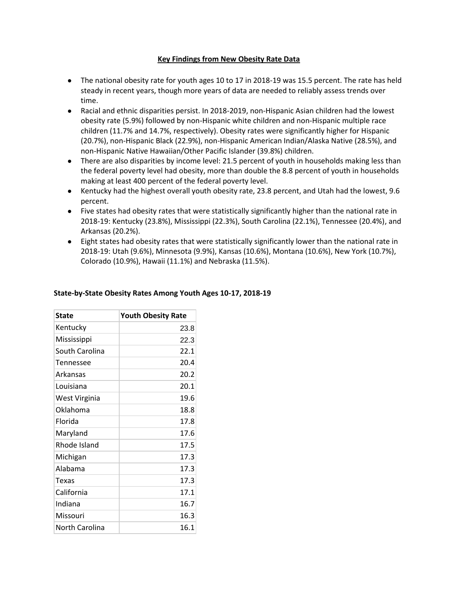### **Key Findings from New Obesity Rate Data**

- The national obesity rate for youth ages 10 to 17 in 2018-19 was 15.5 percent. The rate has held steady in recent years, though more years of data are needed to reliably assess trends over time.
- Racial and ethnic disparities persist. In 2018-2019, non-Hispanic Asian children had the lowest obesity rate (5.9%) followed by non-Hispanic white children and non-Hispanic multiple race children (11.7% and 14.7%, respectively). Obesity rates were significantly higher for Hispanic (20.7%), non-Hispanic Black (22.9%), non-Hispanic American Indian/Alaska Native (28.5%), and non-Hispanic Native Hawaiian/Other Pacific Islander (39.8%) children.
- There are also disparities by income level: 21.5 percent of youth in households making less than the federal poverty level had obesity, more than double the 8.8 percent of youth in households making at least 400 percent of the federal poverty level.
- Kentucky had the highest overall youth obesity rate, 23.8 percent, and Utah had the lowest, 9.6 percent.
- Five states had obesity rates that were statistically significantly higher than the national rate in 2018-19: Kentucky (23.8%), Mississippi (22.3%), South Carolina (22.1%), Tennessee (20.4%), and Arkansas (20.2%).
- Eight states had obesity rates that were statistically significantly lower than the national rate in 2018-19: Utah (9.6%), Minnesota (9.9%), Kansas (10.6%), Montana (10.6%), New York (10.7%), Colorado (10.9%), Hawaii (11.1%) and Nebraska (11.5%).

| <b>State</b>   | <b>Youth Obesity Rate</b> |
|----------------|---------------------------|
| Kentucky       | 23.8                      |
| Mississippi    | 22.3                      |
| South Carolina | 22.1                      |
| Tennessee      | 20.4                      |
| Arkansas       | 20.2                      |
| Louisiana      | 20.1                      |
| West Virginia  | 19.6                      |
| Oklahoma       | 18.8                      |
| Florida        | 17.8                      |
| Maryland       | 17.6                      |
| Rhode Island   | 17.5                      |
| Michigan       | 17.3                      |
| Alabama        | 17.3                      |
| Texas          | 17.3                      |
| California     | 17.1                      |
| Indiana        | 16.7                      |
| Missouri       | 16.3                      |
| North Carolina | 16.1                      |

# **State-by-State Obesity Rates Among Youth Ages 10-17, 2018-19**